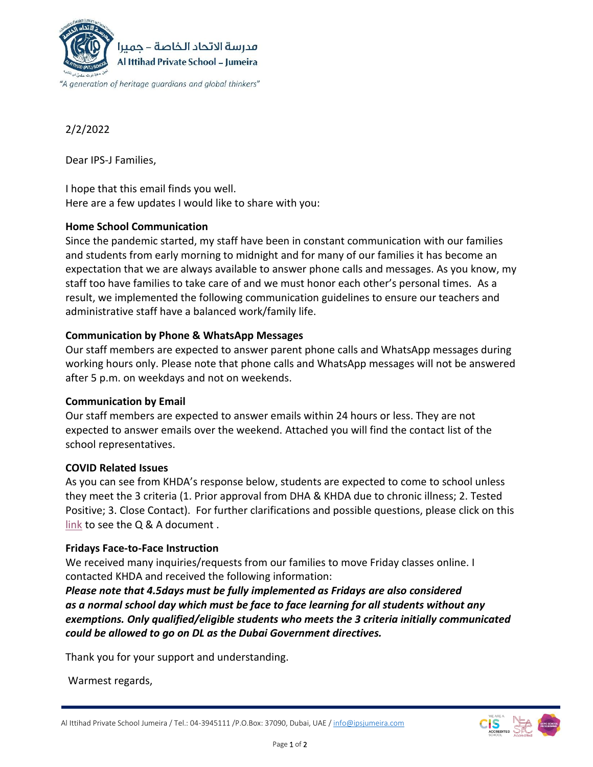

2/2/2022

Dear IPS-J Families,

I hope that this email finds you well. Here are a few updates I would like to share with you:

# **Home School Communication**

Since the pandemic started, my staff have been in constant communication with our families and students from early morning to midnight and for many of our families it has become an expectation that we are always available to answer phone calls and messages. As you know, my staff too have families to take care of and we must honor each other's personal times. As a result, we implemented the following communication guidelines to ensure our teachers and administrative staff have a balanced work/family life.

# **Communication by Phone & WhatsApp Messages**

Our staff members are expected to answer parent phone calls and WhatsApp messages during working hours only. Please note that phone calls and WhatsApp messages will not be answered after 5 p.m. on weekdays and not on weekends.

## **Communication by Email**

Our staff members are expected to answer emails within 24 hours or less. They are not expected to answer emails over the weekend. Attached you will find the contact list of the school representatives.

## **COVID Related Issues**

As you can see from KHDA's response below, students are expected to come to school unless they meet the 3 criteria (1. Prior approval from DHA & KHDA due to chronic illness; 2. Tested Positive; 3. Close Contact). For further clarifications and possible questions, please click on this [link](http://ipsjumeira.com/Q%20&%20A%20%20Distance%20Learning.html) to see the Q & A document .

## **Fridays Face-to-Face Instruction**

We received many inquiries/requests from our families to move Friday classes online. I contacted KHDA and received the following information:

*Please note that 4.5days must be fully implemented as Fridays are also considered as a normal school day which must be face to face learning for all students without any exemptions. Only qualified/eligible students who meets the 3 criteria initially communicated could be allowed to go on DL as the Dubai Government directives.*

Thank you for your support and understanding.

Warmest regards,